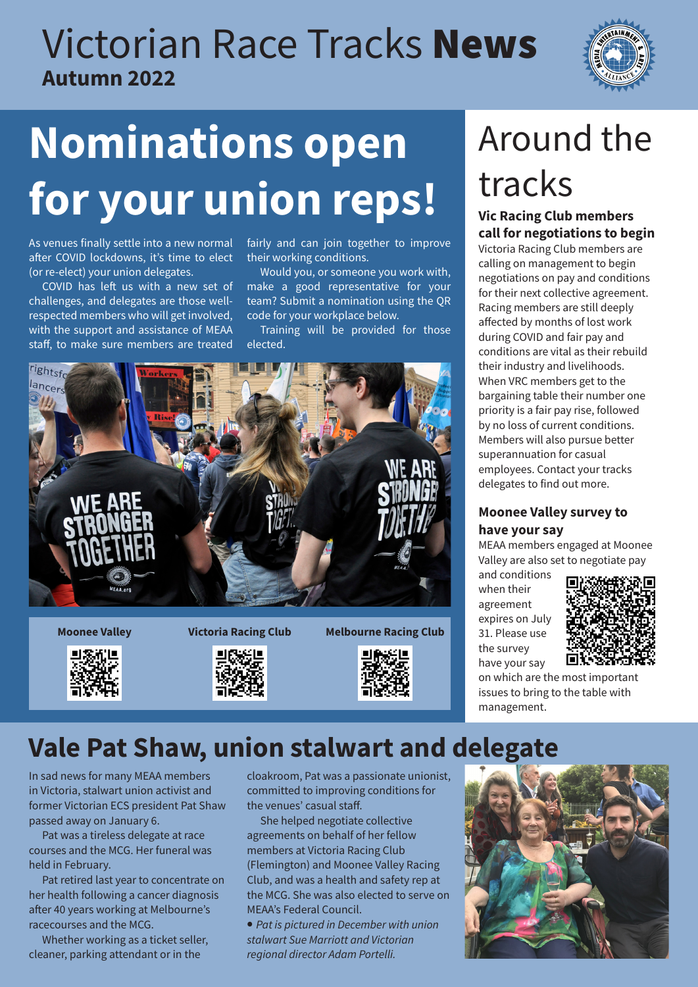## Victorian Race Tracks News **Autumn 2022**



# **Nominations open**  for your union reps! Tracks

As venues finally settle into a new normal after COVID lockdowns, it's time to elect (or re-elect) your union delegates.

COVID has left us with a new set of challenges, and delegates are those wellrespected members who will get involved, with the support and assistance of MEAA staff, to make sure members are treated

fairly and can join together to improve their working conditions.

Would you, or someone you work with, make a good representative for your team? Submit a nomination using the QR code for your workplace below.

Training will be provided for those elected.







**Moonee Valley Victoria Racing Club Melbourne Racing Club**



## Around the tracks

## **call for negotiations to begin**

Victoria Racing Club members are calling on management to begin negotiations on pay and conditions for their next collective agreement. Racing members are still deeply affected by months of lost work during COVID and fair pay and conditions are vital as their rebuild their industry and livelihoods. When VRC members get to the bargaining table their number one priority is a fair pay rise, followed by no loss of current conditions. Members will also pursue better superannuation for casual employees. Contact your tracks delegates to find out more.

### **Moonee Valley survey to have your say**

MEAA members engaged at Moonee Valley are also set to negotiate pay

and conditions when their agreement expires on July 31. Please use the survey have your say



on which are the most important issues to bring to the table with management.

### **Vale Pat Shaw, union stalwart and delegate**

In sad news for many MEAA members in Victoria, stalwart union activist and former Victorian ECS president Pat Shaw passed away on January 6.

Pat was a tireless delegate at race courses and the MCG. Her funeral was held in February.

Pat retired last year to concentrate on her health following a cancer diagnosis after 40 years working at Melbourne's racecourses and the MCG.

Whether working as a ticket seller, cleaner, parking attendant or in the

cloakroom, Pat was a passionate unionist, committed to improving conditions for the venues' casual staff.

She helped negotiate collective agreements on behalf of her fellow members at Victoria Racing Club (Flemington) and Moonee Valley Racing Club, and was a health and safety rep at the MCG. She was also elected to serve on MEAA's Federal Council.

• *Pat is pictured in December with union stalwart Sue Marriott and Victorian regional director Adam Portelli.*